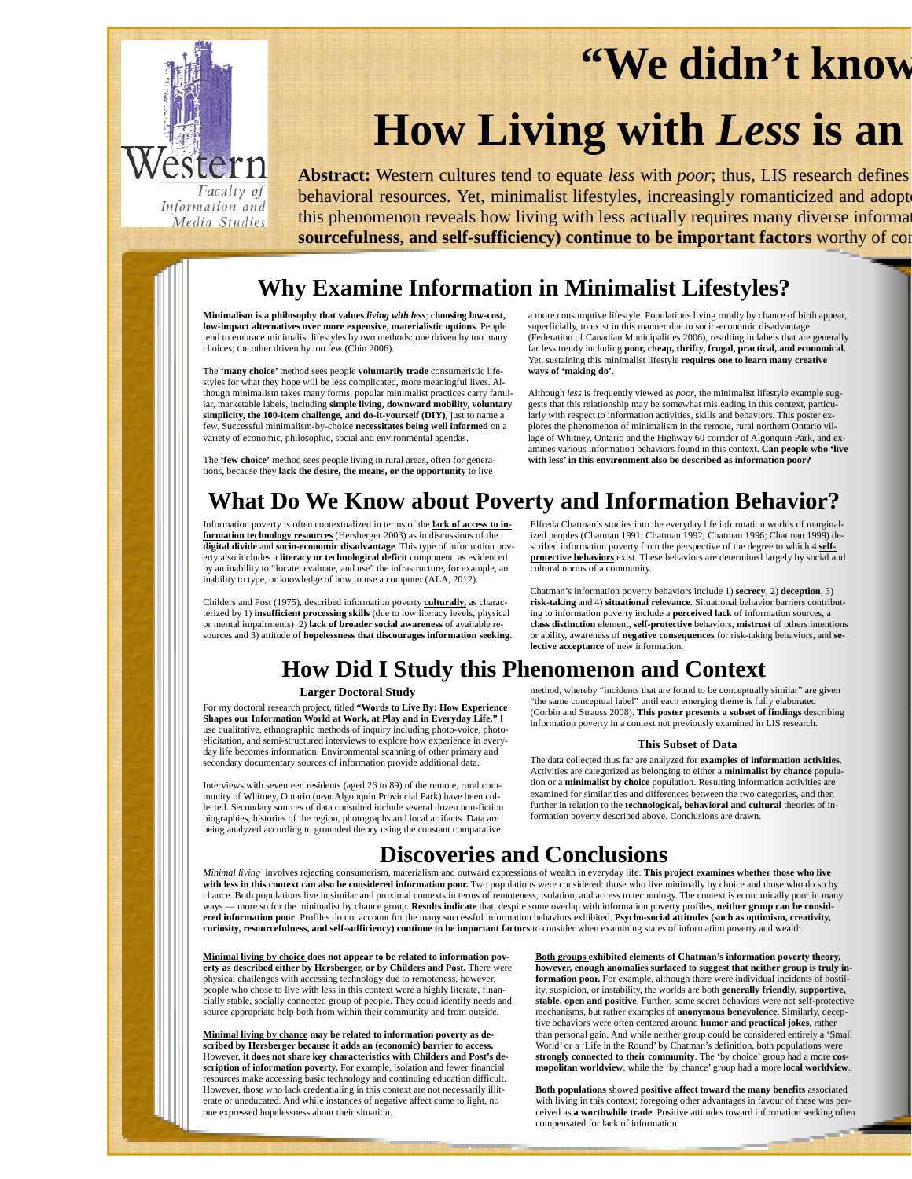# **"We didn't know**



# **How Living with** *Less* **is an**

**Abstract:** Western cultures tend to equate *less* with *poor*; thus, LIS research defines behavioral resources. Yet, minimalist lifestyles, increasingly romanticized and adopt this phenomenon reveals how living with less actually requires many diverse information **sourcefulness, and self-sufficiency) continue to be important factors** worthy of con

## **Why Examine Information in Minimalist Lifestyles?**

**Minimalism is a philosophy that values** *living with less*; **choosing low-cost, low-impact alternatives over more expensive, materialistic options**. People tend to embrace minimalist lifestyles by two methods: one driven by too many choices; the other driven by too few (Chin 2006).

The **'many choice'** method sees people **voluntarily trade** consumeristic lifestyles for what they hope will be less complicated, more meaningful lives. Although minimalism takes many forms, popular minimalist practices carry familiar, marketable labels, including **simple living, downward mobility, voluntary simplicity, the 100-item challenge, and do-it-yourself (DIY),** just to name a few. Successful minimalism-by-choice **necessitates being well informed** on a variety of economic, philosophic, social and environmental agendas.

a more consumptive lifestyle. Populations living rurally by chance of birth appear, superficially, to exist in this manner due to socio-economic disadvantage (Federation of Canadian Municipalities 2006), resulting in labels that are generally far less trendy including **poor, cheap, thrifty, frugal, practical, and economical.** Yet, sustaining this minimalist lifestyle **requires one to learn many creative ways of 'making do'**.

Although *less* is frequently viewed as *poor*, the minimalist lifestyle example suggests that this relationship may be somewhat misleading in this context, particularly with respect to information activities, skills and behaviors. This poster explores the phenomenon of minimalism in the remote, rural northern Ontario village of Whitney, Ontario and the Highway 60 corridor of Algonquin Park, and examines various information behaviors found in this context. **Can people who 'live with less' in this environment also be described as information poor?** 

The **'few choice'** method sees people living in rural areas, often for generations, because they **lack the desire, the means, or the opportunity** to live

# **What Do We Know about Poverty and Information Behavior?**

Information poverty is often contextualized in terms of the **lack of access to in-formation technology resources** (Hersberger 2003) as in discussions of the **digital divide** and **socio-economic disadvantage**. This type of information poverty also includes a **literacy or technological deficit** component, as evidenced by an inability to "locate, evaluate, and use" the infrastructure, for example, an inability to type, or knowledge of how to use a computer (ALA, 2012).

Childers and Post (1975), described information poverty **culturally,** as characterized by 1) **insufficient processing skills** (due to low literacy levels, physical or mental impairments) 2) **lack of broader social awareness** of available resources and 3) attitude of **hopelessness that discourages information seeking**.

Elfreda Chatman's studies into the everyday life information worlds of marginal-ized peoples (Chatman 1991; Chatman 1992; Chatman 1996; Chatman 1999) described information poverty from the perspective of the degree to which 4 **selfprotective behaviors** exist. These behaviors are determined largely by social and cultural norms of a community.

Chatman's information poverty behaviors include 1) **secrecy**, 2) **deception**, 3) **risk-taking** and 4) **situational relevance**. Situational behavior barriers contributing to information poverty include a **perceived lack** of information sources, a **class distinction** element, **self-protective** behaviors, **mistrust** of others intentions or ability, awareness of **negative consequences** for risk-taking behaviors, and **selective acceptance** of new information.

# **How Did I Study this Phenomenon and Context**

### **Larger Doctoral Study**

For my doctoral research project, titled **"Words to Live By: How Experience Shapes our Information World at Work, at Play and in Everyday Life,"** I use qualitative, ethnographic methods of inquiry including photo-voice, photoelicitation, and semi-structured interviews to explore how experience in everyday life becomes information. Environmental scanning of other primary and secondary documentary sources of information provide additional data.

Interviews with seventeen residents (aged 26 to 89) of the remote, rural community of Whitney, Ontario (near Algonquin Provincial Park) have been collected. Secondary sources of data consulted include several dozen non-fiction biographies, histories of the region, photographs and local artifacts. Data are being analyzed according to grounded theory using the constant comparative

method, whereby "incidents that are found to be conceptually similar" are given "the same conceptual label" until each emerging theme is fully elaborated (Corbin and Strauss 2008). **This poster presents a subset of findings** describing information poverty in a context not previously examined in LIS research.

### **This Subset of Data**

The data collected thus far are analyzed for **examples of information activities**. Activities are categorized as belonging to either a **minimalist by chance** population or a **minimalist by choice** population. Resulting information activities are examined for similarities and differences between the two categories, and then further in relation to the **technological, behavioral and cultural** theories of information poverty described above. Conclusions are drawn.

## **Discoveries and Conclusions**

*Minimal living* involves rejecting consumerism, materialism and outward expressions of wealth in everyday life. **This project examines whether those who live**  with less in this context can also be considered information poor. Two populations were considered: those who live minimally by choice and those who do so by chance. Both populations live in similar and proximal contexts in terms of remoteness, isolation, and access to technology. The context is economically poor in many - more so for the minimalist by chance group. Results indicate that, despite some overlap with information poverty profiles, neither group can be consid**ered information poor**. Profiles do not account for the many successful information behaviors exhibited. **Psycho-social attitudes (such as optimism, creativity, curiosity, resourcefulness, and self-sufficiency) continue to be important factors** to consider when examining states of information poverty and wealth.

**Minimal living by choice does not appear to be related to information poverty as described either by Hersberger, or by Childers and Post.** There were physical challenges with accessing technology due to remoteness, however, people who chose to live with less in this context were a highly literate, financially stable, socially connected group of people. They could identify needs and source appropriate help both from within their community and from outside.

**Minimal living by chance may be related to information poverty as described by Hersberger because it adds an (economic) barrier to access.** However, **it does not share key characteristics with Childers and Post's description of information poverty.** For example, isolation and fewer financial resources make accessing basic technology and continuing education difficult. However, those who lack credentialing in this context are not necessarily illiterate or uneducated. And while instances of negative affect came to light, no one expressed hopelessness about their situation.

**Both groups exhibited elements of Chatman's information poverty theory, however, enough anomalies surfaced to suggest that neither group is truly information poor.** For example, although there were individual incidents of hostility, suspicion, or instability, the worlds are both **generally friendly, supportive, stable, open and positive**. Further, some secret behaviors were not self-protective mechanisms, but rather examples of **anonymous benevolence**. Similarly, deceptive behaviors were often centered around **humor and practical jokes**, rather than personal gain. And while neither group could be considered entirely a 'Small World' or a 'Life in the Round' by Chatman's definition, both populations were **strongly connected to their community**. The 'by choice' group had a more **cosmopolitan worldview**, while the 'by chance' group had a more **local worldview**.

**Both populations** showed **positive affect toward the many benefits** associated with living in this context; foregoing other advantages in favour of these was perceived as **a worthwhile trade**. Positive attitudes toward information seeking often compensated for lack of information.